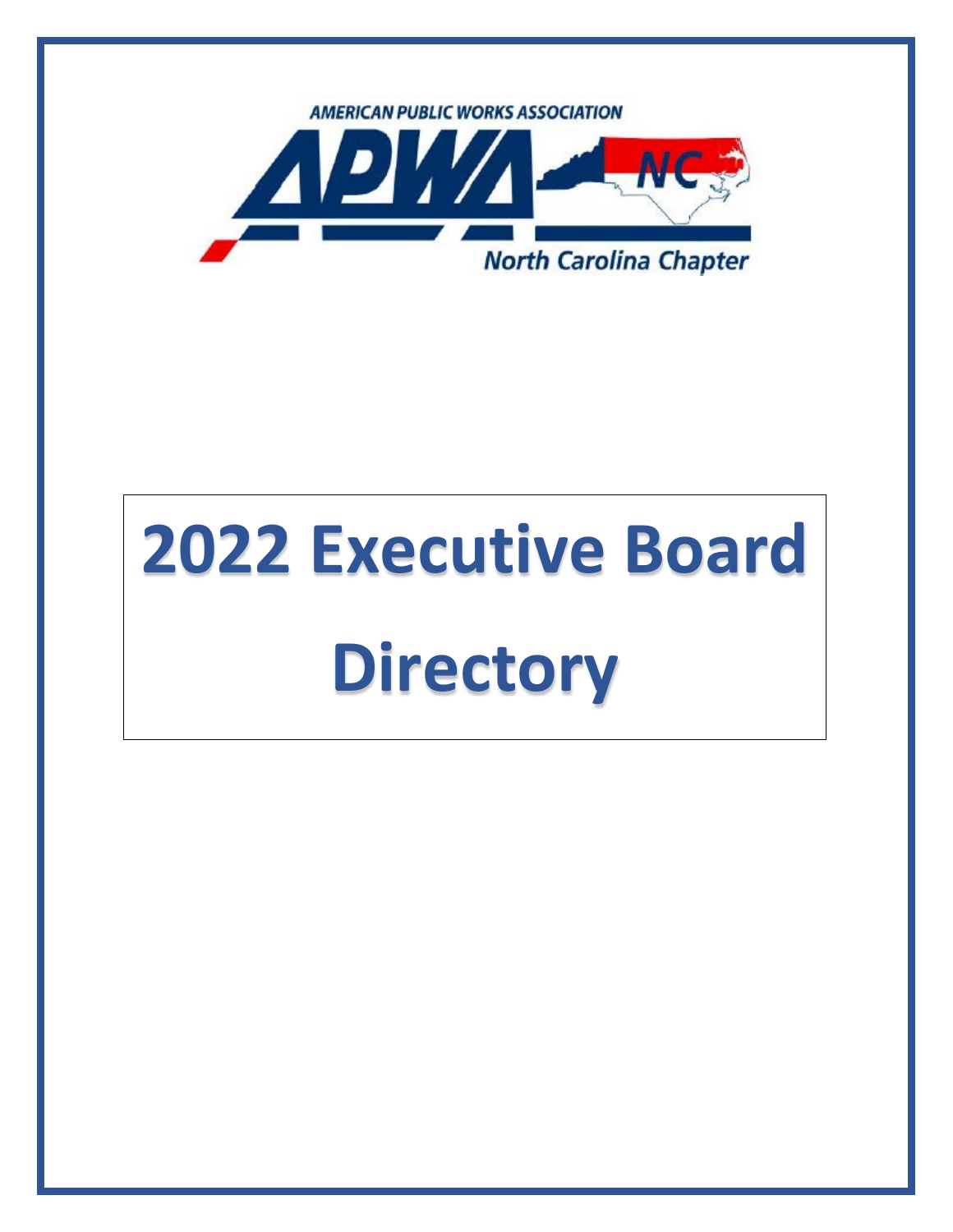

# **2022 Executive Board Directory**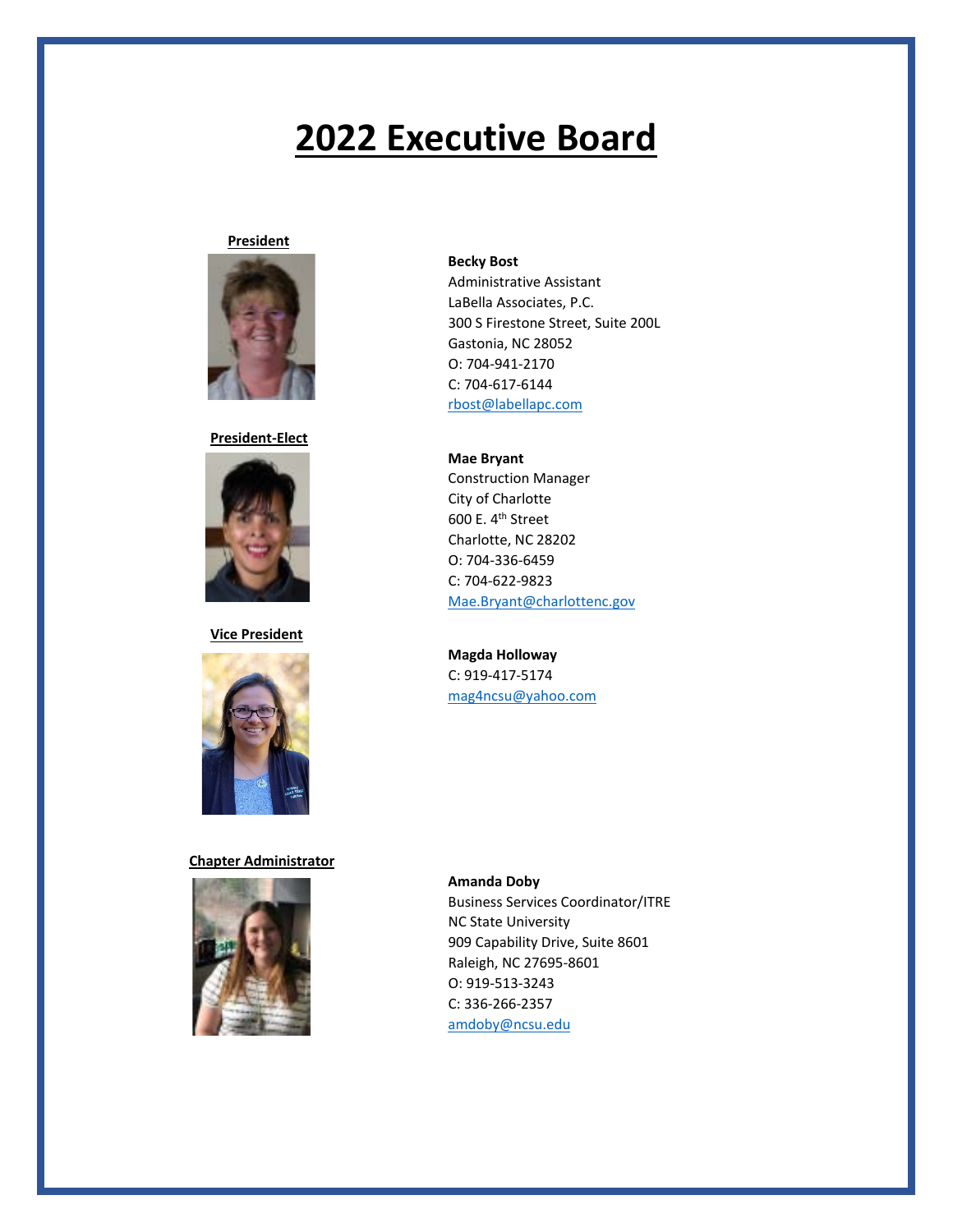### **President**



**President-Elect**



### **Vice President**



### **Chapter Administrator**



### **Becky Bost**

Administrative Assistant LaBella Associates, P.C. 300 S Firestone Street, Suite 200L Gastonia, NC 28052 O: 704-941-2170 C: 704-617-6144 [rbost@labellapc.com](mailto:rbost@labellapc.com)

**Mae Bryant** Construction Manager City of Charlotte 600 E. 4<sup>th</sup> Street Charlotte, NC 28202 O: 704-336-6459 C: 704-622-9823 [Mae.Bryant@charlottenc.gov](mailto:Mae.Bryant@charlottenc.gov)

### **Magda Holloway** C: 919-417-5174 [mag4ncsu@yahoo.com](mailto:mag4ncsu@yahoo.com)

**Amanda Doby** Business Services Coordinator/ITRE NC State University 909 Capability Drive, Suite 8601 Raleigh, NC 27695-8601 O: 919-513-3243 C: 336-266-2357 [amdoby@ncsu.edu](mailto:amdoby@ncsu.edu)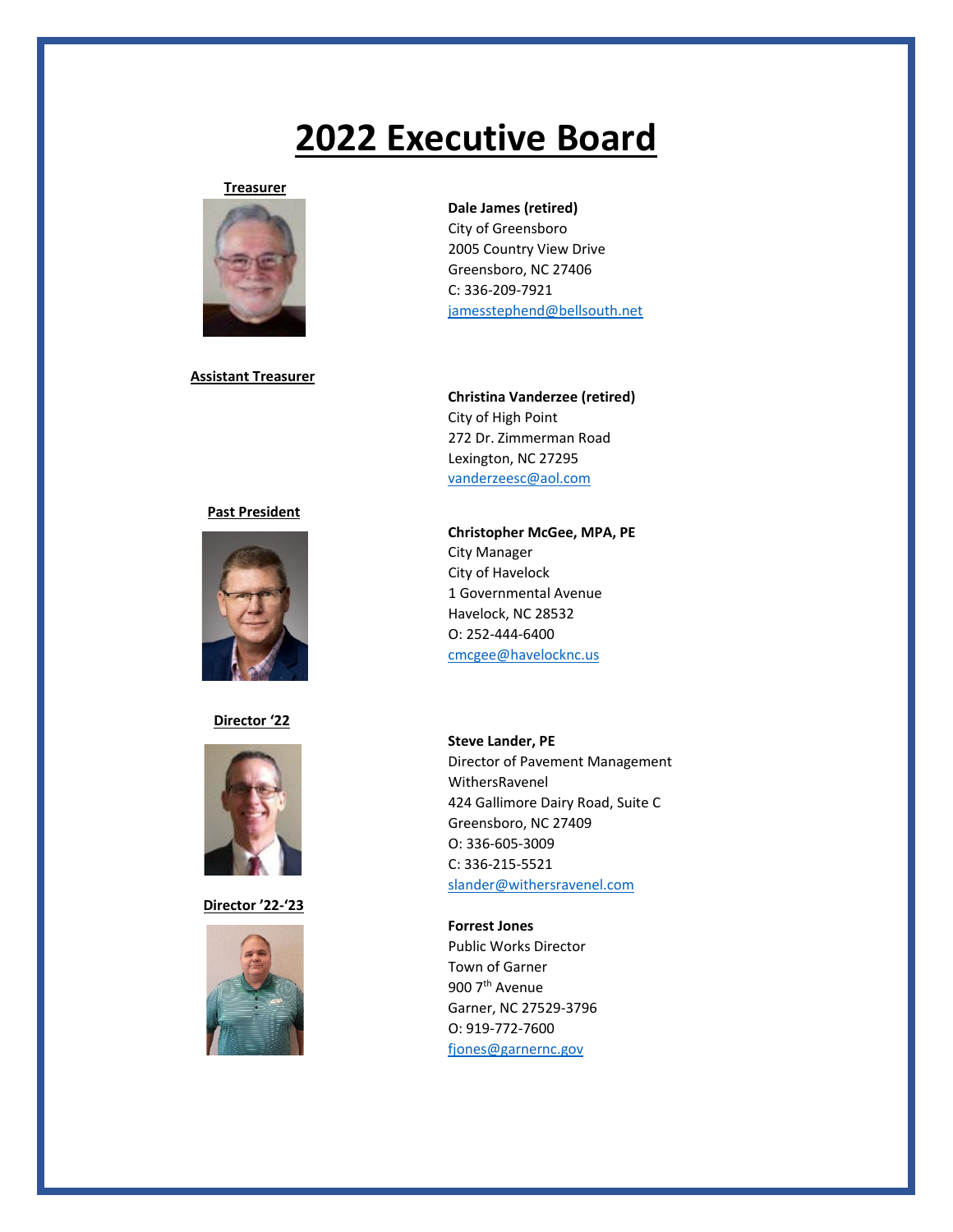### **Treasurer**



### **Assistant Treasurer**

### **Past President**



### **Director '22**



 **Director '22-'23**



### **Dale James (retired)**

City of Greensboro 2005 Country View Drive Greensboro, NC 27406 C: 336-209-7921 [jamesstephend@bellsouth.net](mailto:jamesstephend@bellsouth.net)

**Christina Vanderzee (retired)** City of High Point 272 Dr. Zimmerman Road Lexington, NC 27295 [vanderzeesc@aol.com](mailto:vanderzeesc@aol.com)

**Christopher McGee, MPA, PE** City Manager City of Havelock 1 Governmental Avenue Havelock, NC 28532 O: 252-444-6400 [cmcgee@havelocknc.us](mailto:cmcgee@havelocknc.us)

**Steve Lander, PE** Director of Pavement Management WithersRavenel 424 Gallimore Dairy Road, Suite C Greensboro, NC 27409 O: 336-605-3009 C: 336-215-5521 [slander@withersravenel.com](mailto:slander@withersravenel.com)

**Forrest Jones** Public Works Director Town of Garner 900 7<sup>th</sup> Avenue Garner, NC 27529-3796 O: 919-772-7600 [fjones@garnernc.gov](mailto:fjones@garnernc.gov)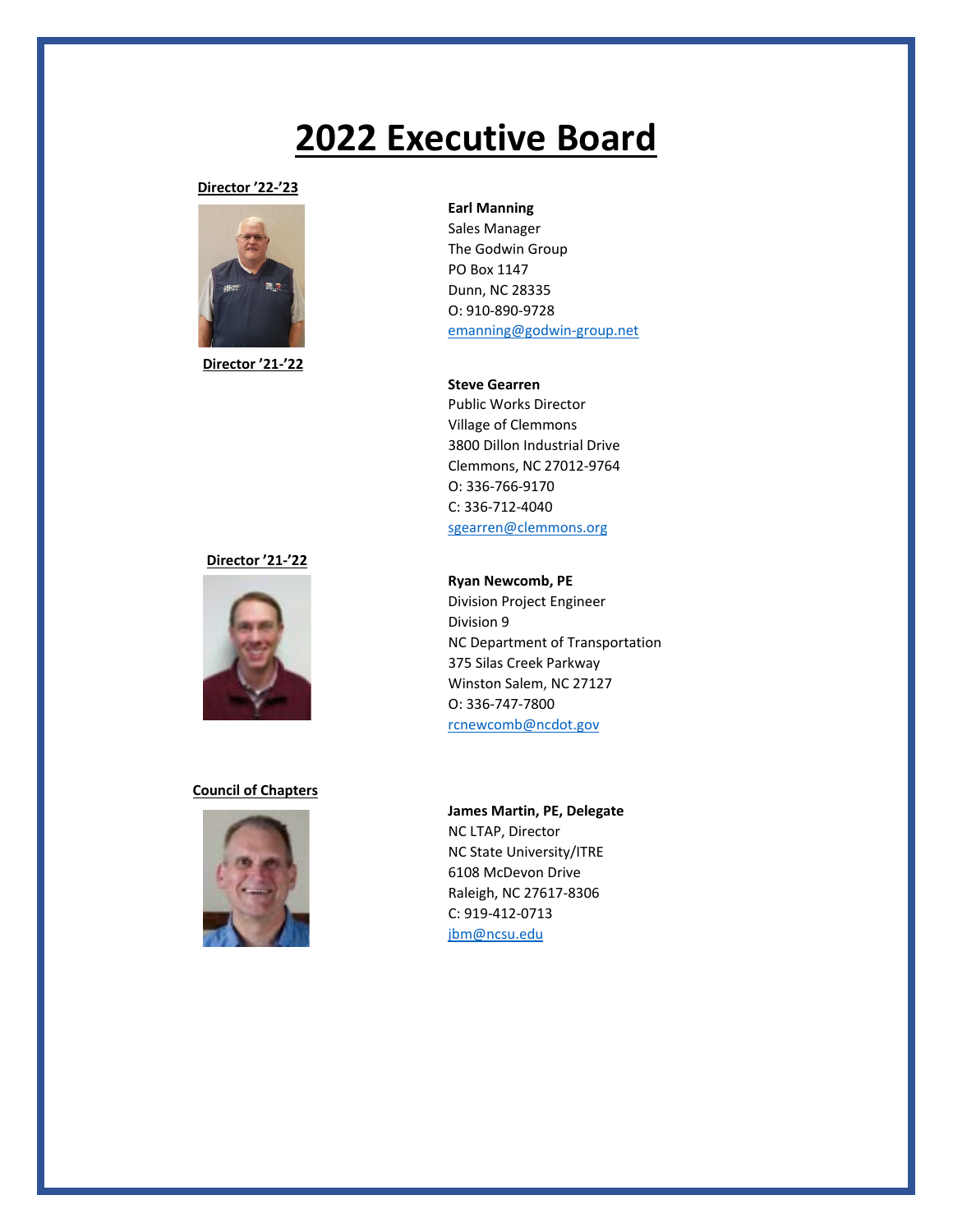**Director '22-'23**



**Director '21-'22**

### **Director '21-'22**



### **Council of Chapters**



### **Earl Manning**

Sales Manager The Godwin Group PO Box 1147 Dunn, NC 28335 O: 910-890-9728 [emanning@godwin-group.net](mailto:emanning@godwin-group.net)

**Steve Gearren**

Public Works Director Village of Clemmons 3800 Dillon Industrial Drive Clemmons, NC 27012-9764 O: 336-766-9170 C: 336-712-4040 [sgearren@clemmons.org](mailto:sgearren@clemmons.org)

### **Ryan Newcomb, PE**

Division Project Engineer Division 9 NC Department of Transportation 375 Silas Creek Parkway Winston Salem, NC 27127 O: 336-747-7800 [rcnewcomb@ncdot.gov](mailto:rcnewcomb@ncdot.gov)

**James Martin, PE, Delegate** NC LTAP, Director NC State University/ITRE 6108 McDevon Drive Raleigh, NC 27617-8306 C: 919-412-0713 [jbm@ncsu.edu](mailto:jbm@ncsu.edu)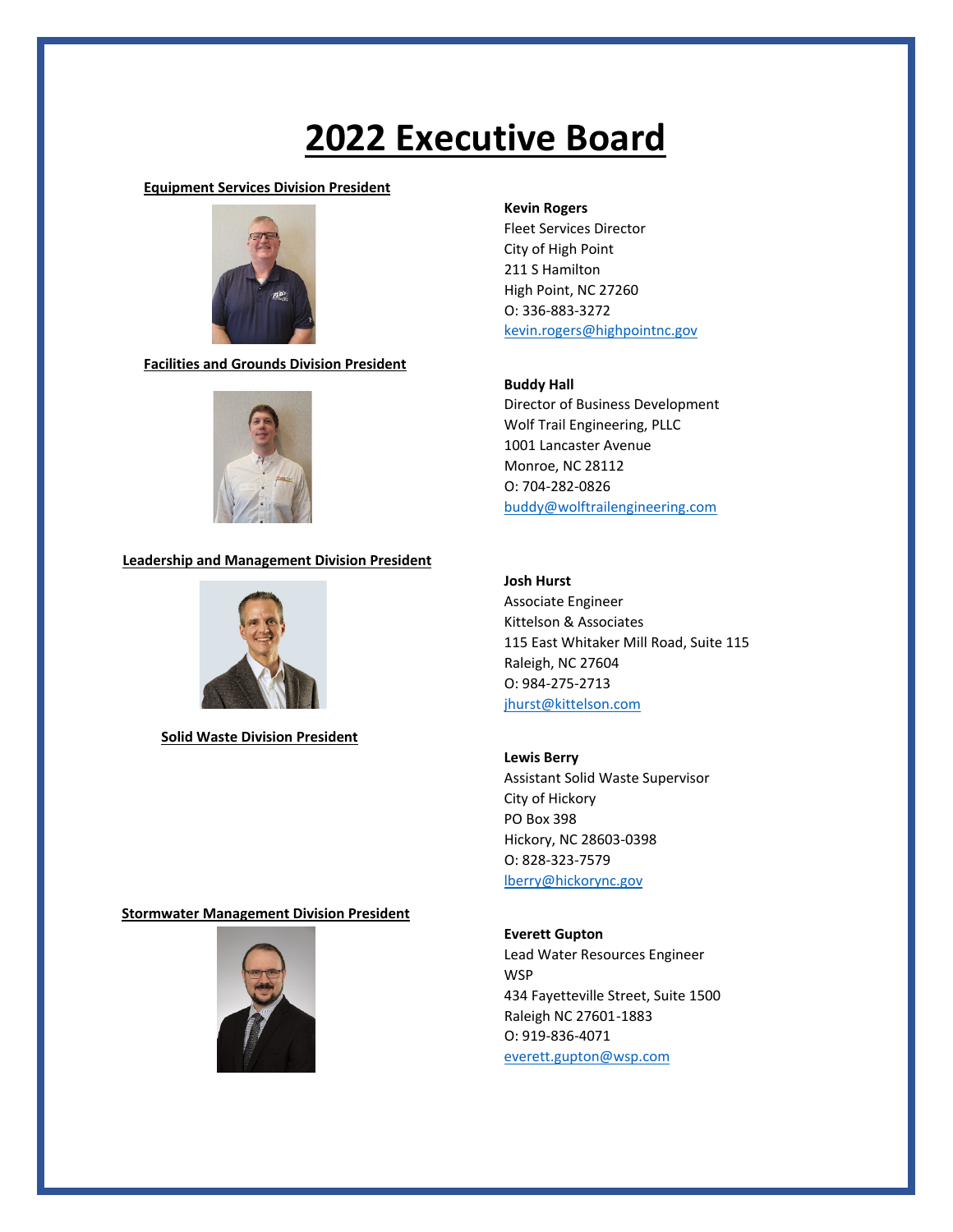### **Equipment Services Division President**



 **Facilities and Grounds Division President**



### **Leadership and Management Division President**



 **Solid Waste Division President**

### **Kevin Rogers**

Fleet Services Director City of High Point 211 S Hamilton High Point, NC 27260 O: 336-883-3272 [kevin.rogers@highpointnc.gov](mailto:kevin.rogers@highpointnc.gov)

### **Buddy Hall**

Director of Business Development Wolf Trail Engineering, PLLC 1001 Lancaster Avenue Monroe, NC 28112 O: 704-282-0826 [buddy@wolftrailengineering.com](mailto:buddy@wolftrailengineering.com)

### **Josh Hurst**

Associate Engineer Kittelson & Associates 115 East Whitaker Mill Road, Suite 115 Raleigh, NC 27604 O: 984-275-2713 [jhurst@kittelson.com](mailto:jhurst@kittelson.com)

### **Lewis Berry**

Assistant Solid Waste Supervisor City of Hickory PO Box 398 Hickory, NC 28603-0398 O: 828-323-7579 [lberry@hickorync.gov](mailto:lberry@hickorync.gov)

### **Everett Gupton**

Lead Water Resources Engineer **WSP** 434 Fayetteville Street, Suite 1500 Raleigh NC 27601-1883 O: 919-836-4071 [everett.gupton@wsp.com](mailto:everett.gupton@wsp.com)

### **Stormwater Management Division President**

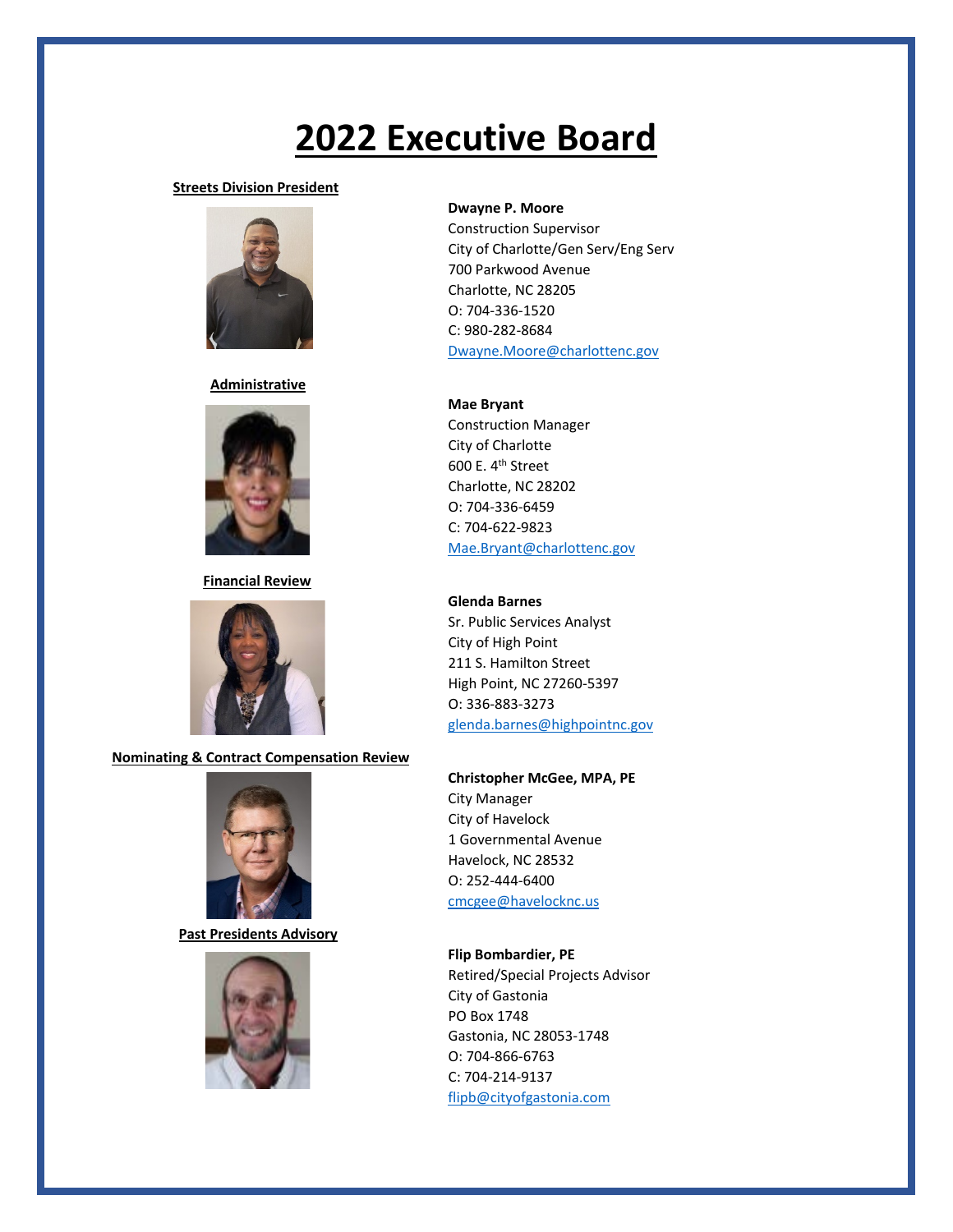### **Streets Division President**



### **Administrative**



### **Financial Review**



### **Nominating & Contract Compensation Review**



 **Past Presidents Advisory**



### **Dwayne P. Moore**

Construction Supervisor City of Charlotte/Gen Serv/Eng Serv 700 Parkwood Avenue Charlotte, NC 28205 O: 704-336-1520 C: 980-282-8684 [Dwayne.Moore@charlottenc.gov](mailto:Dwayne.Moore@charlottenc.gov)

### **Mae Bryant**

Construction Manager City of Charlotte 600 E. 4th Street Charlotte, NC 28202 O: 704-336-6459 C: 704-622-9823 [Mae.Bryant@charlottenc.gov](mailto:Mae.Bryant@charlottenc.gov)

### **Glenda Barnes**

Sr. Public Services Analyst City of High Point 211 S. Hamilton Street High Point, NC 27260-5397 O: 336-883-3273 [glenda.barnes@highpointnc.gov](mailto:glenda.barnes@highpointnc.gov)

### **Christopher McGee, MPA, PE**

City Manager City of Havelock 1 Governmental Avenue Havelock, NC 28532 O: 252-444-6400 [cmcgee@havelocknc.us](mailto:cmcgee@havelocknc.us)

### **Flip Bombardier, PE**

Retired/Special Projects Advisor City of Gastonia PO Box 1748 Gastonia, NC 28053-1748 O: 704-866-6763 C: 704-214-9137 [flipb@cityofgastonia.com](mailto:flipb@cityofgastonia.com)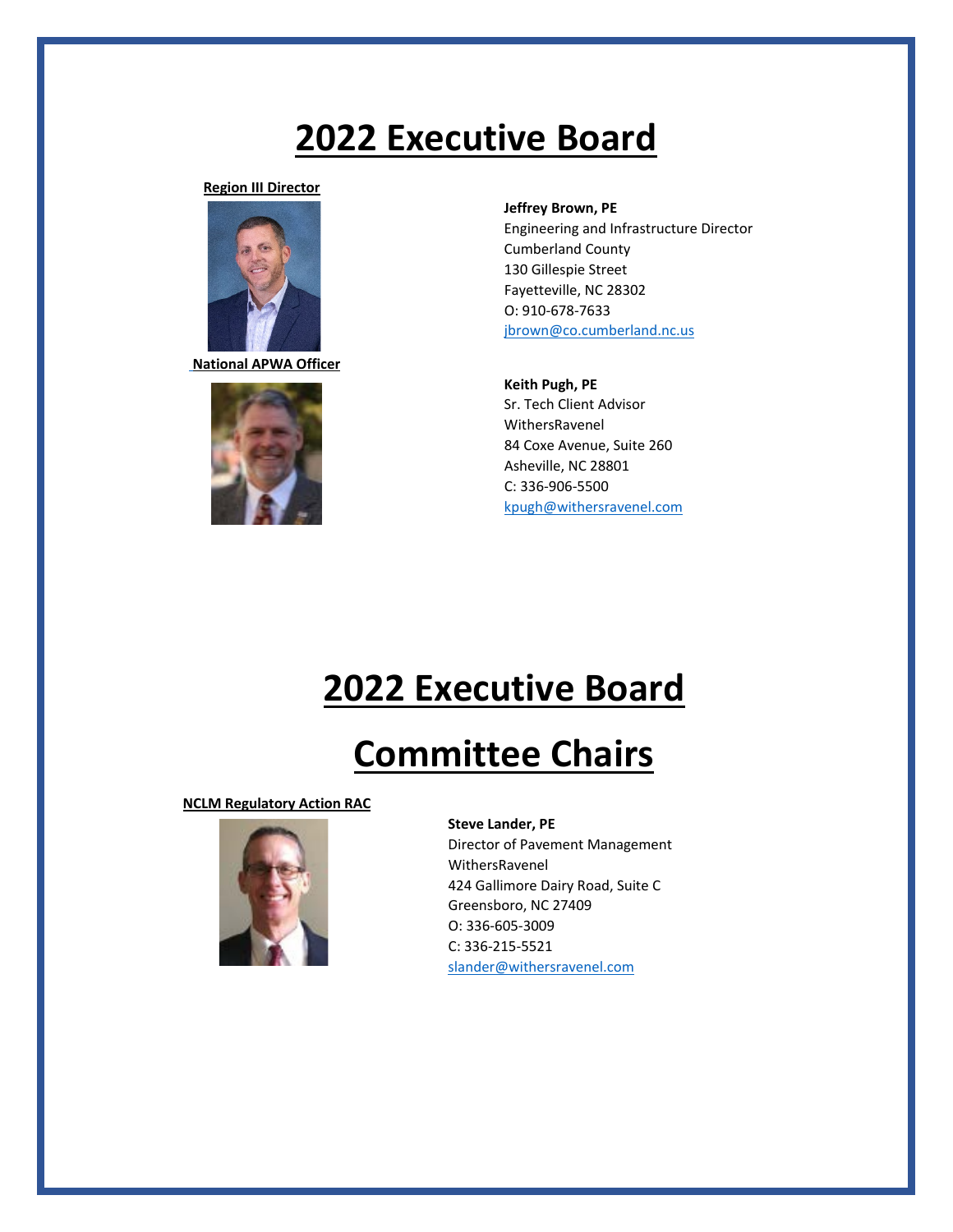**Region III Director**



**National APWA Officer**



**Jeffrey Brown, PE**

Engineering and Infrastructure Director Cumberland County 130 Gillespie Street Fayetteville, NC 28302 O: 910-678-7633 [jbrown@co.cumberland.nc.us](mailto:jbrown@co.cumberland.nc.us)

**Keith Pugh, PE** Sr. Tech Client Advisor WithersRavenel 84 Coxe Avenue, Suite 260 Asheville, NC 28801 C: 336-906-5500 [kpugh@withersravenel.com](mailto:kpugh@withersravenel.com)

## **2022 Executive Board**

## **Committee Chairs**

**NCLM Regulatory Action RAC**



### **Steve Lander, PE**

Director of Pavement Management WithersRavenel 424 Gallimore Dairy Road, Suite C Greensboro, NC 27409 O: 336-605-3009 C: 336-215-5521 [slander@withersravenel.com](mailto:slander@withersravenel.com)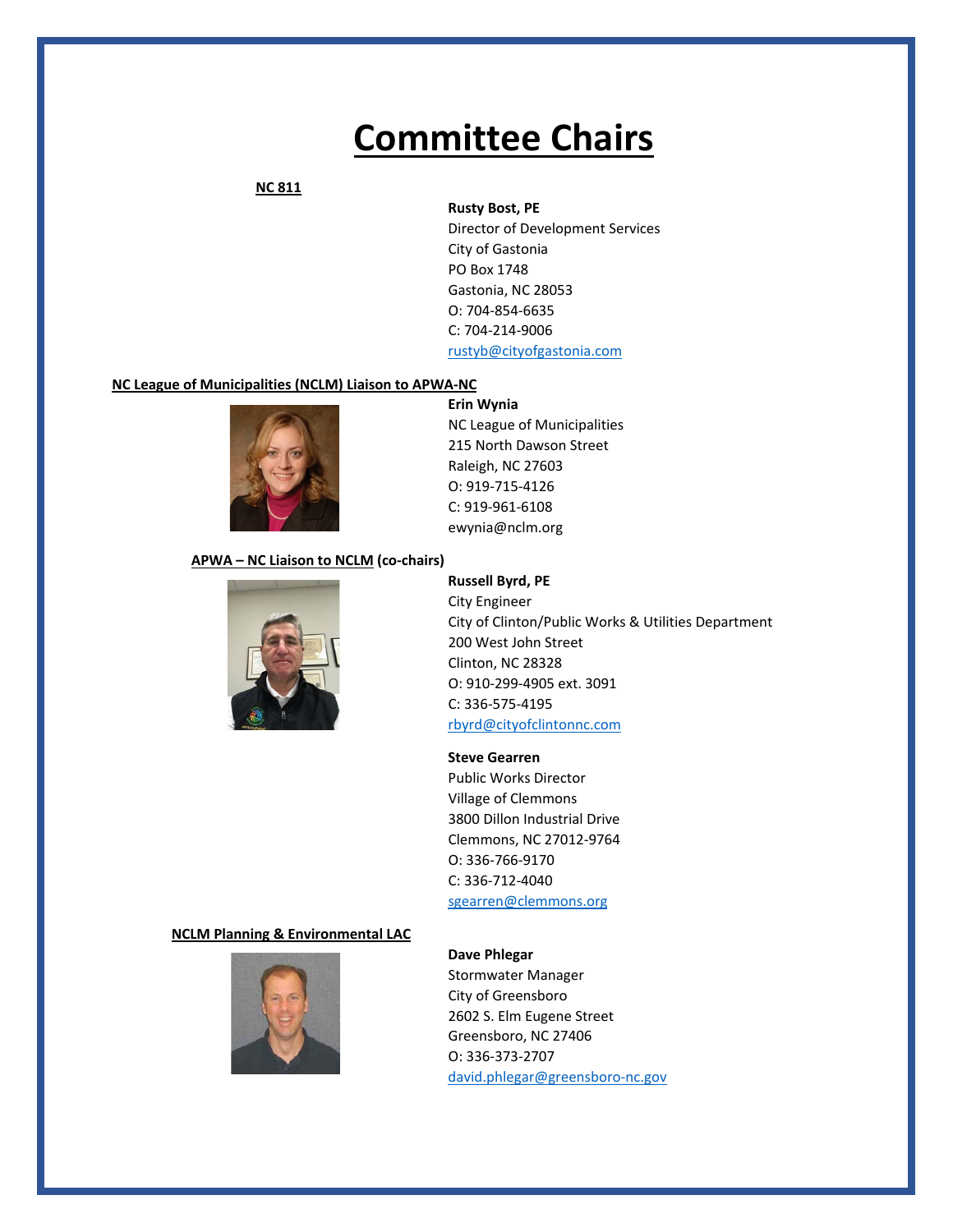### **NC 811**

### **Rusty Bost, PE**

Director of Development Services City of Gastonia PO Box 1748 Gastonia, NC 28053 O: 704-854-6635 C: 704-214-9006 [rustyb@cityofgastonia.com](mailto:rustyb@cityofgastonia.com)

### **NC League of Municipalities (NCLM) Liaison to APWA-NC**



**Erin Wynia** NC League of Municipalities 215 North Dawson Street Raleigh, NC 27603 O: 919-715-4126 C: 919-961-6108 ewynia@nclm.org

### **APWA – NC Liaison to NCLM (co-chairs)**



**Russell Byrd, PE** City Engineer City of Clinton/Public Works & Utilities Department 200 West John Street Clinton, NC 28328 O: 910-299-4905 ext. 3091 C: 336-575-4195 [rbyrd@cityofclintonnc.com](mailto:rbyrd@cityofclintonnc.com)

### **Steve Gearren**

Public Works Director Village of Clemmons 3800 Dillon Industrial Drive Clemmons, NC 27012-9764 O: 336-766-9170 C: 336-712-4040 [sgearren@clemmons.org](mailto:sgearren@clemmons.org)

### **NCLM Planning & Environmental LAC**



### **Dave Phlegar**

Stormwater Manager City of Greensboro 2602 S. Elm Eugene Street Greensboro, NC 27406 O: 336-373-2707 [david.phlegar@greensboro-nc.gov](mailto:david.phlegar@greensboro-nc.gov)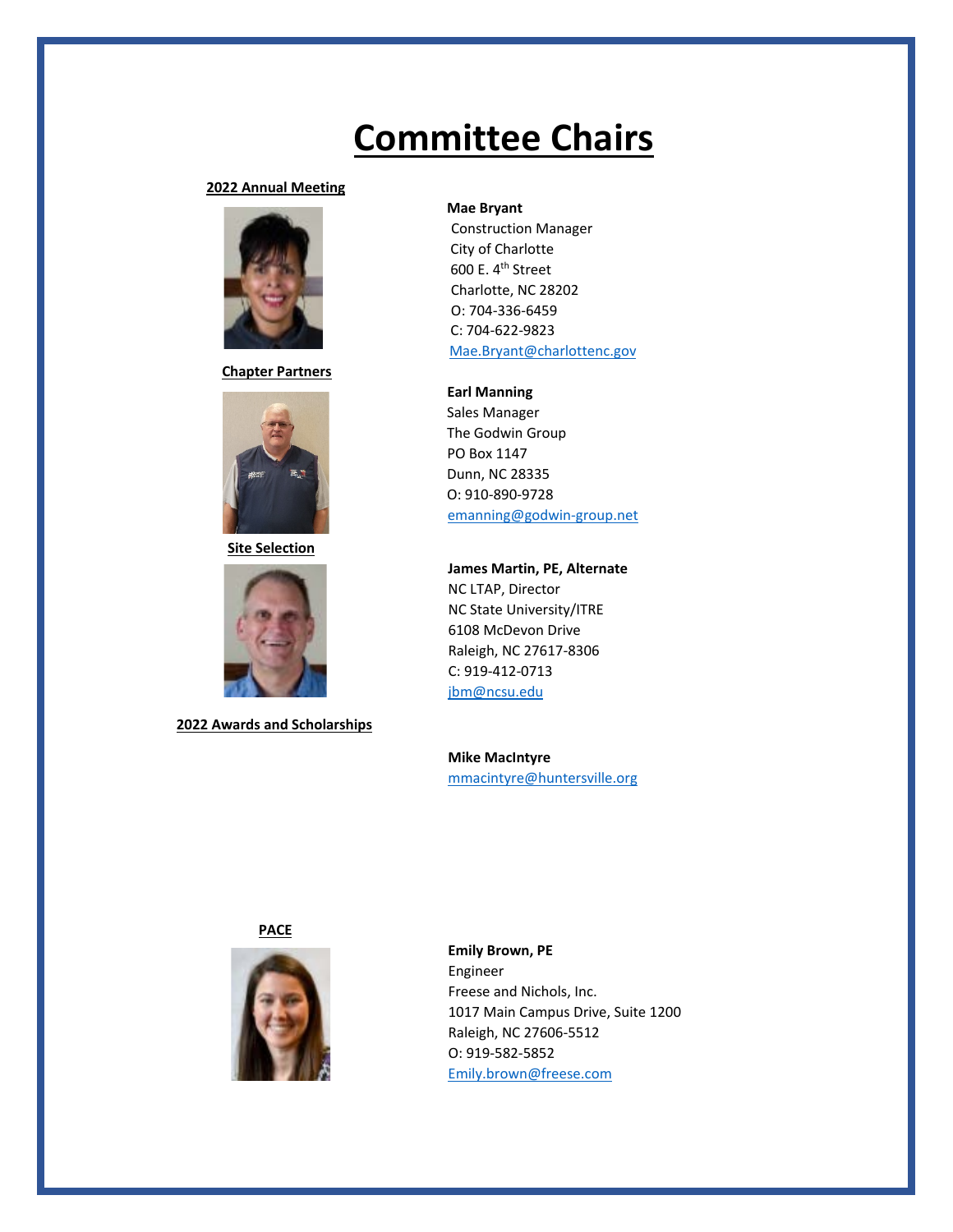### **2022 Annual Meeting**



 **Chapter Partners**



**Site Selection**



**2022 Awards and Scholarships**

### **Mae Bryant**

 Construction Manager City of Charlotte 600 E. 4<sup>th</sup> Street Charlotte, NC 28202 O: 704-336-6459 C: 704-622-9823 [Mae.Bryant@charlottenc.gov](mailto:Mae.Bryant@charlottenc.gov)

 **Earl Manning** Sales Manager The Godwin Group PO Box 1147 Dunn, NC 28335 O: 910-890-9728

[emanning@godwin-group.net](mailto:emanning@godwin-group.net)

**James Martin, PE, Alternate** NC LTAP, Director NC State University/ITRE 6108 McDevon Drive Raleigh, NC 27617-8306 C: 919-412-0713 [jbm@ncsu.edu](mailto:jbm@ncsu.edu)

**Mike MacIntyre** [mmacintyre@huntersville.org](mailto:mmacintyre@huntersville.org)

**PACE**



**Emily Brown, PE** Engineer Freese and Nichols, Inc. 1017 Main Campus Drive, Suite 1200 Raleigh, NC 27606-5512 O: 919-582-5852 [Emily.brown@freese.com](mailto:Emily.brown@freese.com)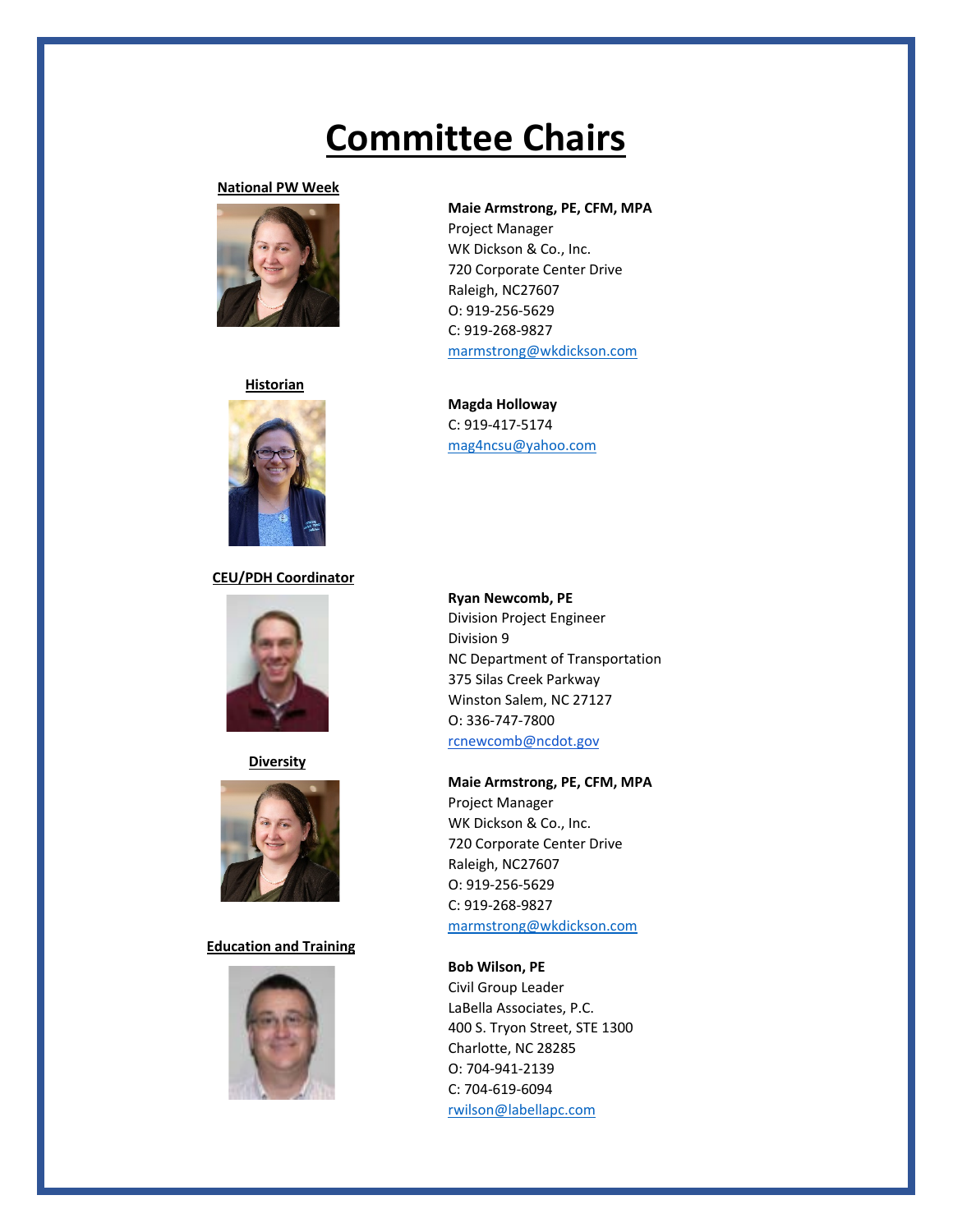### **National PW Week**



### **Historian**



### **CEU/PDH Coordinator**



**Diversity**



### **Education and Training**



### **Maie Armstrong, PE, CFM, MPA**

Project Manager WK Dickson & Co., Inc. 720 Corporate Center Drive Raleigh, NC27607 O: 919-256-5629 C: 919-268-9827 [marmstrong@wkdickson.com](mailto:marmstrong@wkdickson.com)

**Magda Holloway** C: 919-417-5174 [mag4ncsu@yahoo.com](mailto:mag4ncsu@yahoo.com)

### **Ryan Newcomb, PE**

Division Project Engineer Division 9 NC Department of Transportation 375 Silas Creek Parkway Winston Salem, NC 27127 O: 336-747-7800 [rcnewcomb@ncdot.gov](mailto:rcnewcomb@ncdot.gov)

### **Maie Armstrong, PE, CFM, MPA**

Project Manager WK Dickson & Co., Inc. 720 Corporate Center Drive Raleigh, NC27607 O: 919-256-5629 C: 919-268-9827 [marmstrong@wkdickson.com](mailto:marmstrong@wkdickson.com)

### **Bob Wilson, PE**

Civil Group Leader LaBella Associates, P.C. 400 S. Tryon Street, STE 1300 Charlotte, NC 28285 O: 704-941-2139 C: 704-619-6094 [rwilson@labellapc.com](mailto:rwilson@labellapc.com)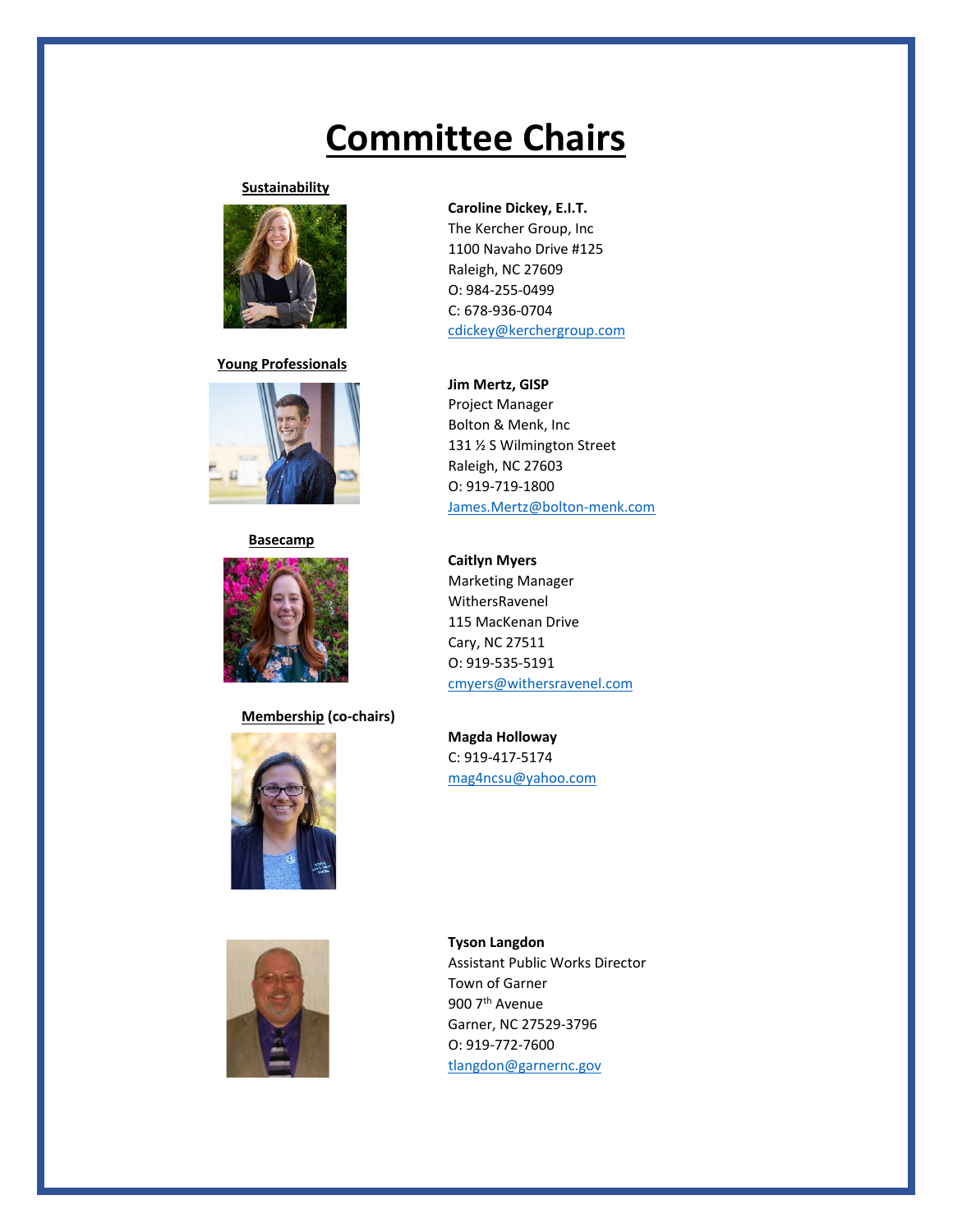### **Sustainability**



**Young Professionals**



### **Basecamp**



**Membership (co-chairs)**





### **Caroline Dickey, E.I.T.**

The Kercher Group, Inc 1100 Navaho Drive #125 Raleigh, NC 27609 O: 984-255-0499 C: 678-936-0704 [cdickey@kerchergroup.com](mailto:cdickey@kerchergroup.com)

### **Jim Mertz, GISP**

Project Manager Bolton & Menk, Inc 131 ½ S Wilmington Street Raleigh, NC 27603 O: 919-719-1800 [James.Mertz@bolton-menk.com](mailto:James.Mertz@bolton-menk.com)

### **Caitlyn Myers**

Marketing Manager WithersRavenel 115 MacKenan Drive Cary, NC 27511 O: 919-535-5191 [cmyers@withersravenel.com](mailto:cmyers@withersravenel.com)

**Magda Holloway** C: 919-417-5174 [mag4ncsu@yahoo.com](mailto:mag4ncsu@yahoo.com)

### **Tyson Langdon** Assistant Public Works Director Town of Garner 900 7<sup>th</sup> Avenue Garner, NC 27529-3796 O: 919-772-7600 [tlangdon@garnernc.gov](mailto:tlangdon@garnernc.gov)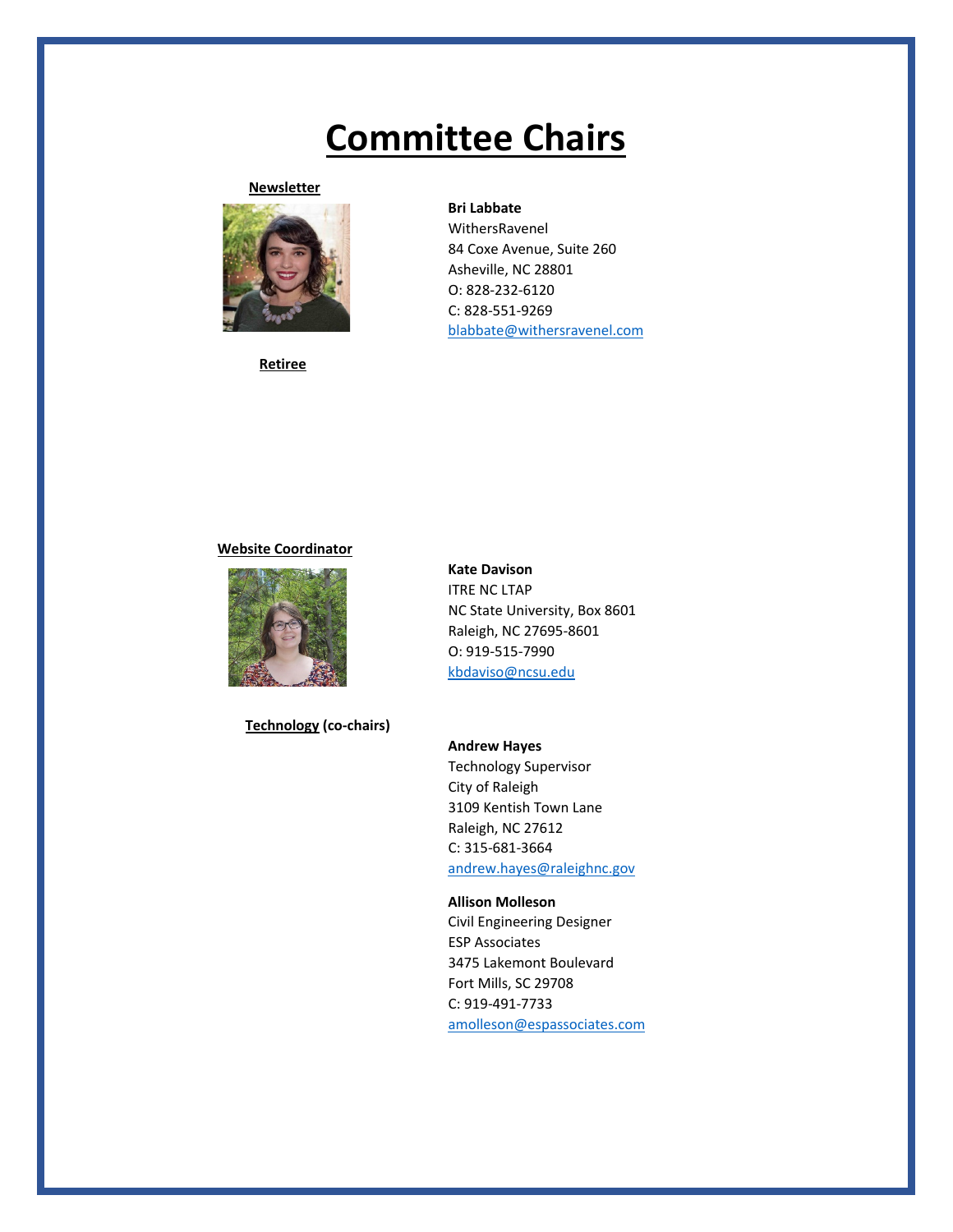### **Newsletter**



**Retiree**

### **Bri Labbate**

WithersRavenel 84 Coxe Avenue, Suite 260 Asheville, NC 28801 O: 828-232-6120 C: 828-551-9269 [blabbate@withersravenel.com](mailto:blabbate@withersravenel.com)

### **Website Coordinator**



**Technology (co-chairs)**

**Kate Davison** ITRE NC LTAP NC State University, Box 8601 Raleigh, NC 27695-8601 O: 919-515-7990 [kbdaviso@ncsu.edu](mailto:kbdaviso@ncsu.edu)

**Andrew Hayes** Technology Supervisor City of Raleigh 3109 Kentish Town Lane Raleigh, NC 27612 C: 315-681-3664 [andrew.hayes@raleighnc.gov](mailto:andrew.hayes@raleighnc.gov)

**Allison Molleson** Civil Engineering Designer ESP Associates 3475 Lakemont Boulevard Fort Mills, SC 29708 C: 919-491-7733 [amolleson@espassociates.com](mailto:amolleson@espassociates.com)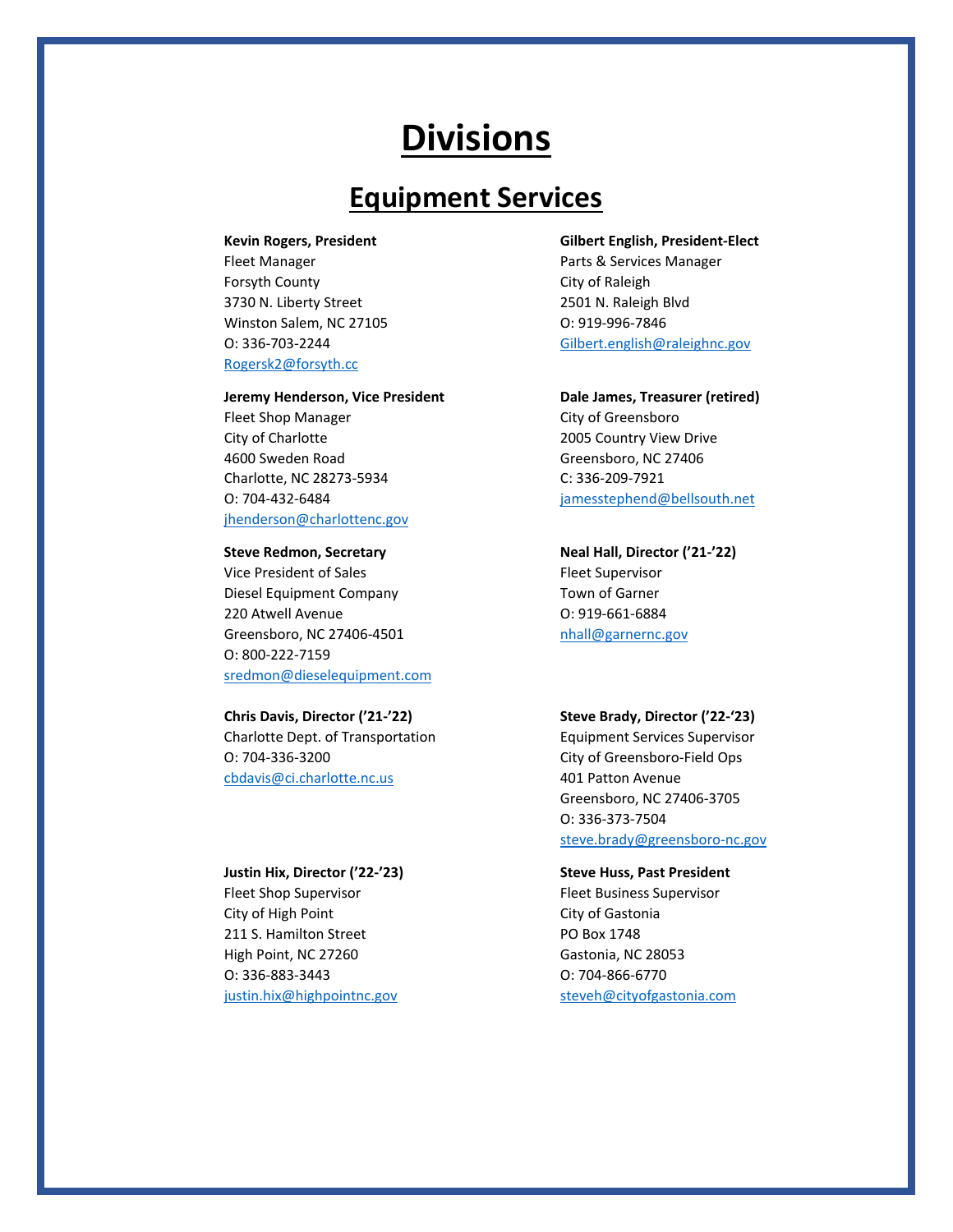## **Equipment Services**

Fleet Manager **Parts & Services Manager** Parts & Services Manager Forsyth County **City of Raleigh** 3730 N. Liberty Street 2501 N. Raleigh Blvd

[Rogersk2@forsyth.cc](mailto:Rogersk2@forsyth.cc)

### **Jeremy Henderson, Vice President Dale James, Treasurer (retired)**

Fleet Shop Manager City of Greensboro City of Charlotte 2005 Country View Drive 4600 Sweden Road Greensboro, NC 27406 Charlotte, NC 28273-5934 C: 336-209-7921 [jhenderson@charlottenc.gov](mailto:jhenderson@charlottenc.gov)

Vice President of Sales Fleet Supervisor Diesel Equipment Company Town of Garner 220 Atwell Avenue O: 919-661-6884 Greensboro, NC 27406-4501 https://www.mail@garnernc.gov O: 800-222-7159 [sredmon@dieselequipment.com](mailto:sredmon@dieselequipment.com)

Charlotte Dept. of Transportation Equipment Services Supervisor O: 704-336-3200 City of Greensboro-Field Ops [cbdavis@ci.charlotte.nc.us](mailto:cbdavis@ci.charlotte.nc.us) 401 Patton Avenue

### **Justin Hix, Director ('22-'23) Steve Huss, Past President**

Fleet Shop Supervisor **Fleet Business Supervisor** City of High Point City of Gastonia 211 S. Hamilton Street PO Box 1748 High Point, NC 27260 Gastonia, NC 28053 O: 336-883-3443 O: 704-866-6770

### **Kevin Rogers, President Gilbert English, President-Elect**

Winston Salem, NC 27105 0: 919-996-7846 O: 336-703-2244 [Gilbert.english@raleighnc.gov](mailto:Gilbert.english@raleighnc.gov)

O: 704-432-6484 [jamesstephend@bellsouth.net](mailto:jamesstephend@bellsouth.net)

### **Steve Redmon, Secretary Neal Hall, Director ('21-'22)**

### **Chris Davis, Director ('21-'22) Steve Brady, Director ('22-'23)**

Greensboro, NC 27406-3705 O: 336-373-7504 [steve.brady@greensboro-nc.gov](mailto:steve.brady@greensboro-nc.gov)

[justin.hix@highpointnc.gov](mailto:justin.hix@highpointnc.gov) [steveh@cityofgastonia.com](mailto:steveh@cityofgastonia.com)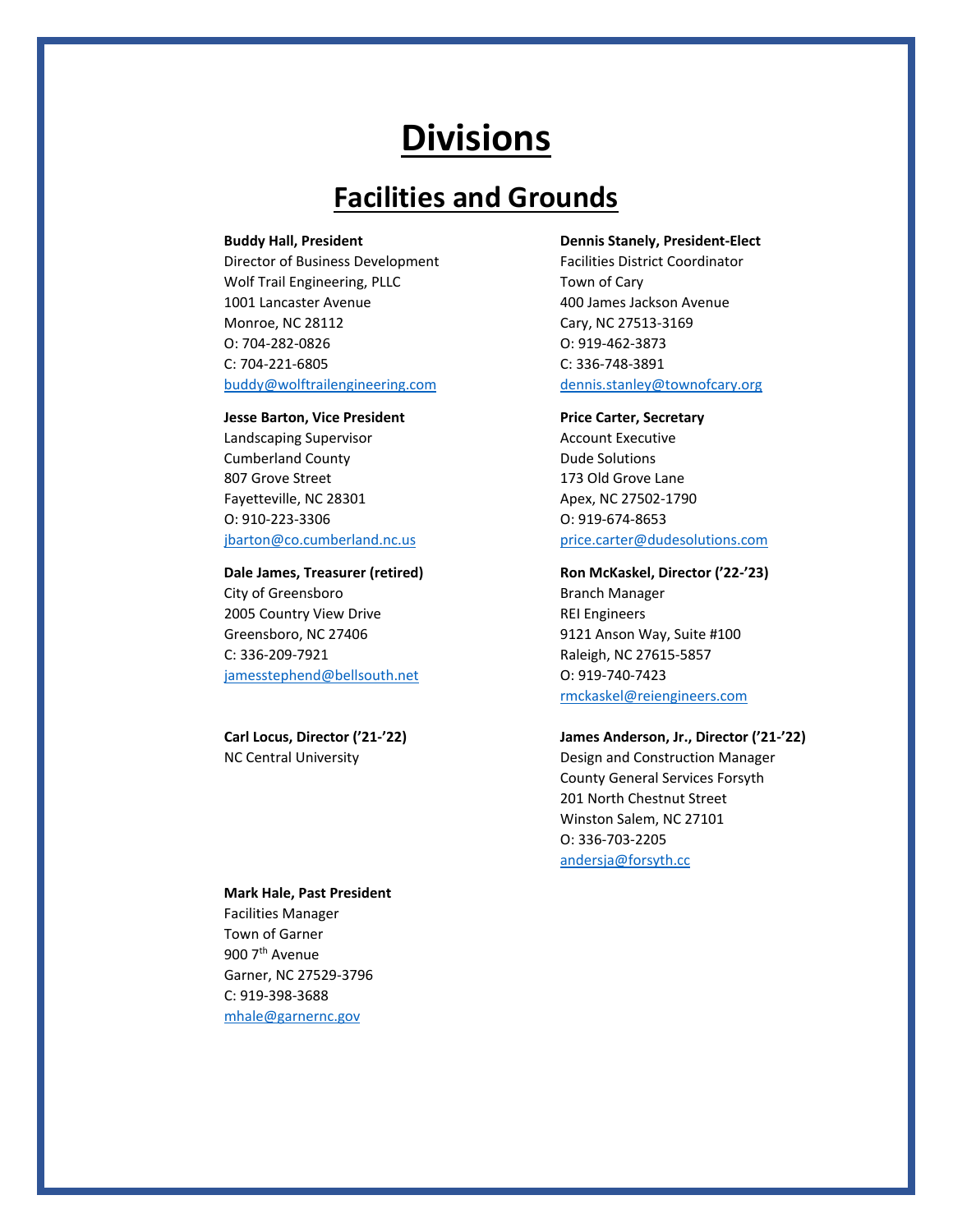## **Facilities and Grounds**

Director of Business Development Facilities District Coordinator Wolf Trail Engineering, PLLC Town of Cary 1001 Lancaster Avenue 400 James Jackson Avenue Monroe, NC 28112 Cary, NC 27513-3169 O: 704-282-0826 O: 919-462-3873 C: 704-221-6805 C: 336-748-3891 [buddy@wolftrailengineering.com](mailto:buddy@wolftrailengineering.com) [dennis.stanley@townofcary.org](mailto:dennis.stanley@townofcary.org)

### **Jesse Barton, Vice President <b>Price Carter**, Secretary

Landscaping Supervisor **Account Executive** Account Executive Cumberland County **Dude Solutions** 807 Grove Street 2007 173 Old Grove Lane Fayetteville, NC 28301 Apex, NC 27502-1790 O: 910-223-3306 O: 919-674-8653

City of Greensboro **Branch Manager** 2005 Country View Drive **REI Engineers** Greensboro, NC 27406 9121 Anson Way, Suite #100 C: 336-209-7921 Raleigh, NC 27615-5857 [jamesstephend@bellsouth.net](mailto:jamesstephend@bellsouth.net) O: 919-740-7423

### **Buddy Hall, President Dennis Stanely, President-Elect**

[jbarton@co.cumberland.nc.us](mailto:jbarton@co.cumberland.nc.us) [price.carter@dudesolutions.com](mailto:price.carter@dudesolutions.com)

### **Dale James, Treasurer (retired) Ron McKaskel, Director ('22-'23)**

[rmckaskel@reiengineers.com](mailto:rmckaskel@reiengineers.com)

### **Carl Locus, Director ('21-'22) James Anderson, Jr., Director ('21-'22)**

NC Central University Design and Construction Manager County General Services Forsyth 201 North Chestnut Street Winston Salem, NC 27101 O: 336-703-2205 [andersja@forsyth.cc](mailto:andersja@forsyth.cc)

### **Mark Hale, Past President**

Facilities Manager Town of Garner 900 7th Avenue Garner, NC 27529-3796 C: 919-398-3688 [mhale@garnernc.gov](mailto:mhale@garnernc.gov)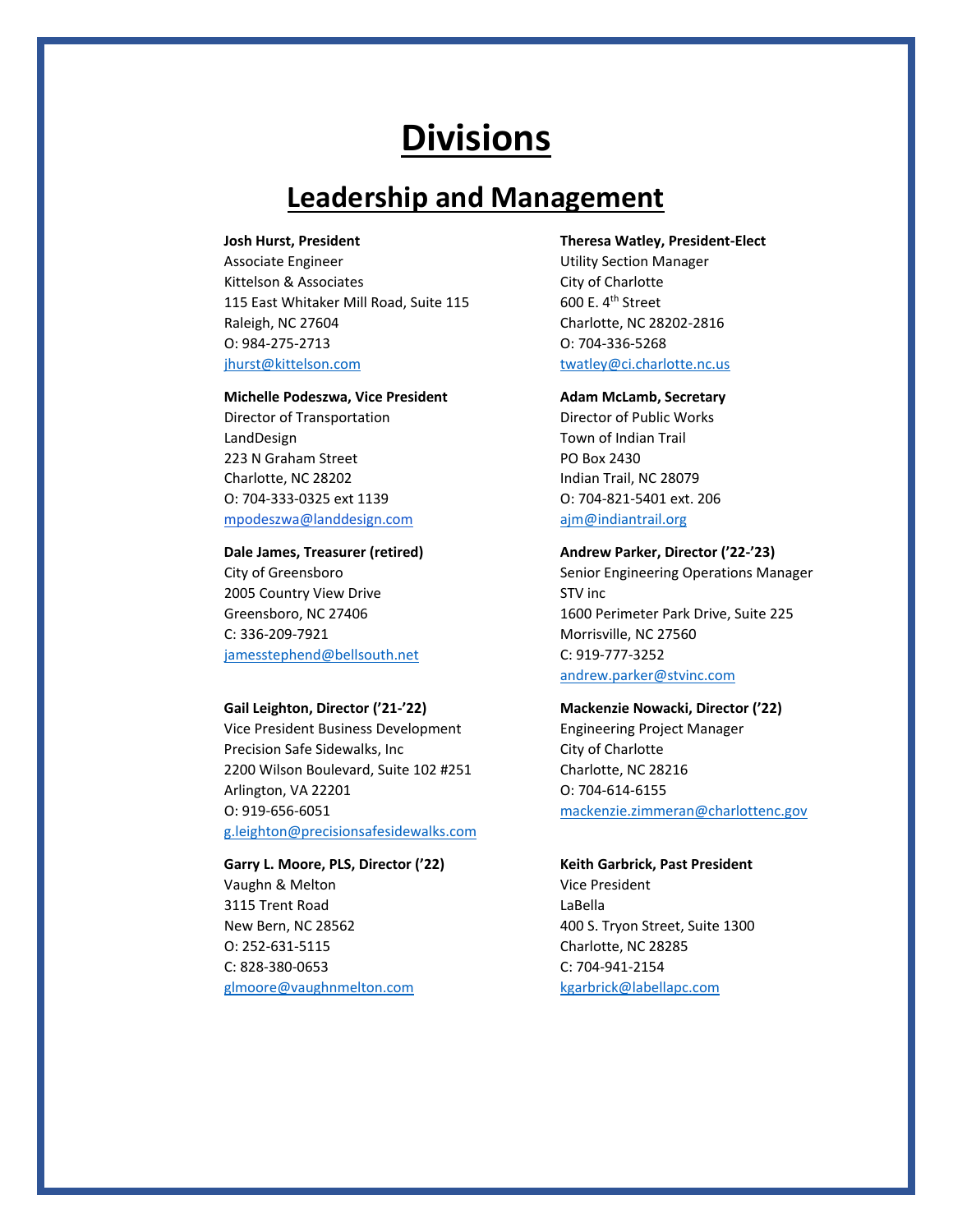## **Leadership and Management**

Associate Engineer **Associate** Engineer **Network** Channel Burnette Utility Section Manager Kittelson & Associates City of Charlotte 115 East Whitaker Mill Road, Suite 115 600 E. 4th Street Raleigh, NC 27604 Charlotte, NC 28202-2816 O: 984-275-2713 O: 704-336-5268 [jhurst@kittelson.com](mailto:jhurst@kittelson.com) [twatley@ci.charlotte.nc.us](mailto:twatley@ci.charlotte.nc.us)

### **Michelle Podeszwa, Vice President <b>Adam McLamb, Secretary**

Director of Transportation **Director of Public Works** LandDesign **Town of Indian Trail** 223 N Graham Street PO Box 2430 Charlotte, NC 28202 **Indian Trail, NC 28079** O: 704-333-0325 ext 1139 O: 704-821-5401 ext. 206 [mpodeszwa@landdesign.com](mailto:mpodeszwa@landdesign.com) [ajm@indiantrail.org](mailto:ajm@indiantrail.org)

2005 Country View Drive STV inc C: 336-209-7921 Morrisville, NC 27560 [jamesstephend@bellsouth.net](mailto:jamesstephend@bellsouth.net) C: 919-777-3252

Vice President Business Development Engineering Project Manager Precision Safe Sidewalks, Inc City of Charlotte 2200 Wilson Boulevard, Suite 102 #251 Charlotte, NC 28216 Arlington, VA 22201 **O: 704-614-6155** O: 919-656-6051 [mackenzie.zimmeran@charlottenc.gov](mailto:mackenzie.zimmeran@charlottenc.gov) [g.leighton@precisionsafesidewalks.com](mailto:g.leighton@precisionsafesidewalks.com)

### Vaughn & Melton Vice President 3115 Trent Road LaBella New Bern, NC 28562 400 S. Tryon Street, Suite 1300 O: 252-631-5115 Charlotte, NC 28285 C: 828-380-0653 C: 704-941-2154 [glmoore@vaughnmelton.com](mailto:glmoore@vaughnmelton.com) [kgarbrick@labellapc.com](mailto:kgarbrick@labellapc.com)

### **Josh Hurst, President Theresa Watley, President-Elect**

### **Dale James, Treasurer (retired) Andrew Parker, Director ('22-'23)**

City of Greensboro **Senior Engineering Operations Manager** Senior Engineering Operations Manager Greensboro, NC 27406 1600 Perimeter Park Drive, Suite 225 [andrew.parker@stvinc.com](mailto:andrew.parker@stvinc.com)

### **Gail Leighton, Director ('21-'22) Mackenzie Nowacki, Director ('22)**

### **Garry L. Moore, PLS, Director ('22) Keith Garbrick, Past President**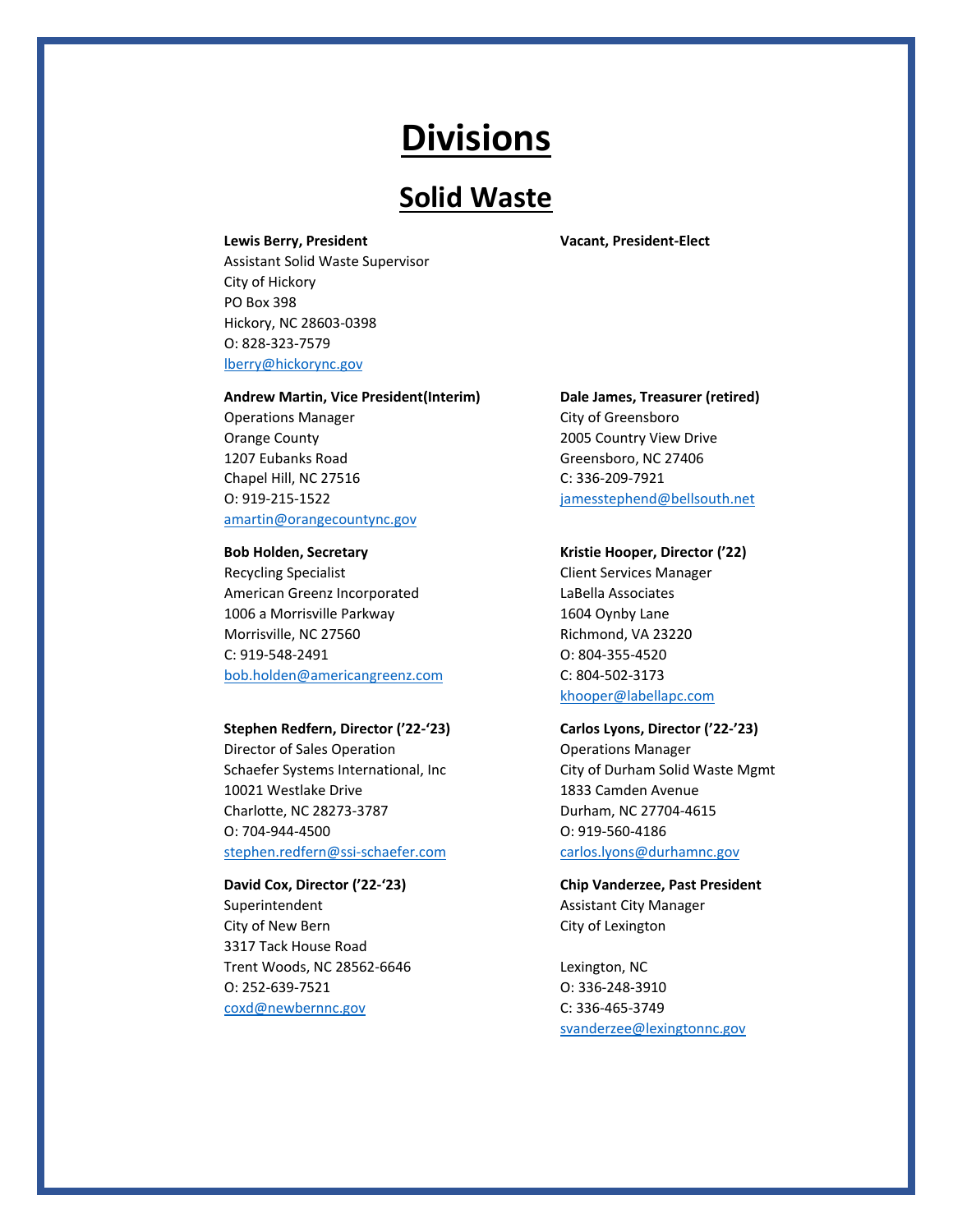## **Solid Waste**

Assistant Solid Waste Supervisor City of Hickory PO Box 398 Hickory, NC 28603-0398 O: 828-323-7579 [lberry@hickorync.gov](mailto:lberry@hickorync.gov)

### **Andrew Martin, Vice President(Interim) Dale James, Treasurer (retired)**

Operations Manager City of Greensboro Orange County 2005 Country View Drive 1207 Eubanks Road Greensboro, NC 27406 Chapel Hill, NC 27516 C: 336-209-7921 O: 919-215-1522 [jamesstephend@bellsouth.net](mailto:jamesstephend@bellsouth.net) [amartin@orangecountync.gov](mailto:amartin@orangecountync.gov)

Recycling Specialist **Client Services Manager** American Greenz Incorporated LaBella Associates 1006 a Morrisville Parkway 1604 Oynby Lane Morrisville, NC 27560 Richmond, VA 23220 C: 919-548-2491 O: 804-355-4520 [bob.holden@americangreenz.com](mailto:bob.holden@americangreenz.com) C: 804-502-3173

### **Stephen Redfern, Director ('22-'23) Carlos Lyons, Director ('22-'23)**

Director of Sales Operation **Contact Contact Contact Contact Contact Contact Contact Contact Contact Contact Contact Contact Contact Contact Contact Contact Contact Contact Contact Contact Contact Contact Contact Contact C** Schaefer Systems International, Inc City of Durham Solid Waste Mgmt 10021 Westlake Drive 1833 Camden Avenue Charlotte, NC 28273-3787 Durham, NC 27704-4615 O: 704-944-4500 O: 919-560-4186 [stephen.redfern@ssi-schaefer.com](mailto:stephen.redfern@ssi-schaefer.com) [carlos.lyons@durhamnc.gov](mailto:carlos.lyons@durhamnc.gov)

Superintendent Assistant City Manager City of New Bern **City of Lexington** 3317 Tack House Road Trent Woods, NC 28562-6646 Lexington, NC O: 252-639-7521 O: 336-248-3910 [coxd@newbernnc.gov](mailto:coxd@newbernnc.gov) C: 336-465-3749

**Lewis Berry, President Vacant, President-Elect**

### **Bob Holden, Secretary Kristie Hooper, Director ('22)**

[khooper@labellapc.com](mailto:khooper@labellapc.com)

## **David Cox, Director ('22-'23) Chip Vanderzee, Past President**

[svanderzee@lexingtonnc.gov](mailto:svanderzee@lexingtonnc.gov)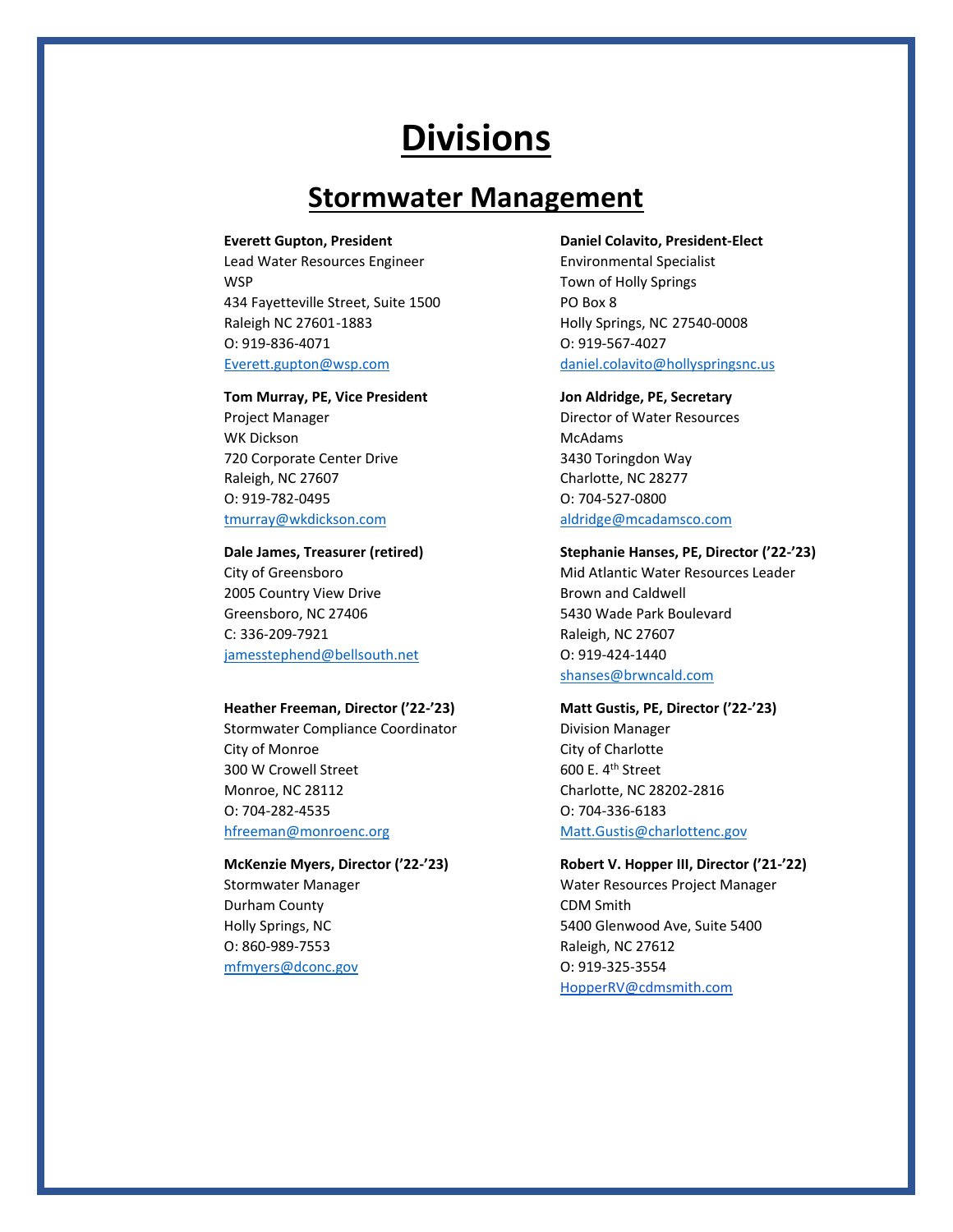## **Stormwater Management**

Lead Water Resources Engineer **Environmental Specialist** WSP WSP **Town of Holly Springs** 434 Fayetteville Street, Suite 1500 PO Box 8 Raleigh NC 27601-1883 Holly Springs, NC 27540-0008 O: 919-836-4071 O: 919-567-4027 [Everett.gupton@wsp.com](mailto:Everett.gupton@wsp.com) [daniel.colavito@hollyspringsnc.us](mailto:daniel.colavito@hollyspringsnc.us)

### **Tom Murray, PE, Vice President Jon Aldridge, PE, Secretary**

WK Dickson McAdams 720 Corporate Center Drive 3430 Toringdon Way Raleigh, NC 27607 Charlotte, NC 28277 O: 919-782-0495 O: 704-527-0800 [tmurray@wkdickson.com](mailto:tmurray@wkdickson.com) [aldridge@mcadamsco.com](mailto:aldridge@mcadamsco.com)

2005 Country View Drive **Brown and Caldwell** Greensboro, NC 27406 666 100 100 100 5430 Wade Park Boulevard C: 336-209-7921 Raleigh, NC 27607 [jamesstephend@bellsouth.net](mailto:jamesstephend@bellsouth.net) O: 919-424-1440

### **Heather Freeman, Director ('22-'23) Matt Gustis, PE, Director ('22-'23)**

Stormwater Compliance Coordinator **Division Manager** City of Monroe City of Charlotte 300 W Crowell Street 600 E. 4<sup>th</sup> Street Monroe, NC 28112 Charlotte, NC 28202-2816 O: 704-282-4535 O: 704-336-6183

Durham County **CDM** Smith O: 860-989-7553 Raleigh, NC 27612 [mfmyers@dconc.gov](mailto:mfmyers@dconc.gov) O: 919-325-3554

**Everett Gupton, President Daniel Colavito, President-Elect**

Project Manager **Director of Water Resources** 

### **Dale James, Treasurer (retired) Stephanie Hanses, PE, Director ('22-'23)**

City of Greensboro **Mid Atlantic Water Resources Leader** [shanses@brwncald.com](mailto:shanses@brwncald.com)

[hfreeman@monroenc.org](mailto:hfreeman@monroenc.org) [Matt.Gustis@charlottenc.gov](mailto:Matt.Gustis@charlottenc.gov)

### **McKenzie Myers, Director ('22-'23) Robert V. Hopper III, Director ('21-'22)**

Stormwater Manager The Water Resources Project Manager Holly Springs, NC 6400 Glenwood Ave, Suite 5400 [HopperRV@cdmsmith.com](mailto:HopperRV@cdmsmith.com)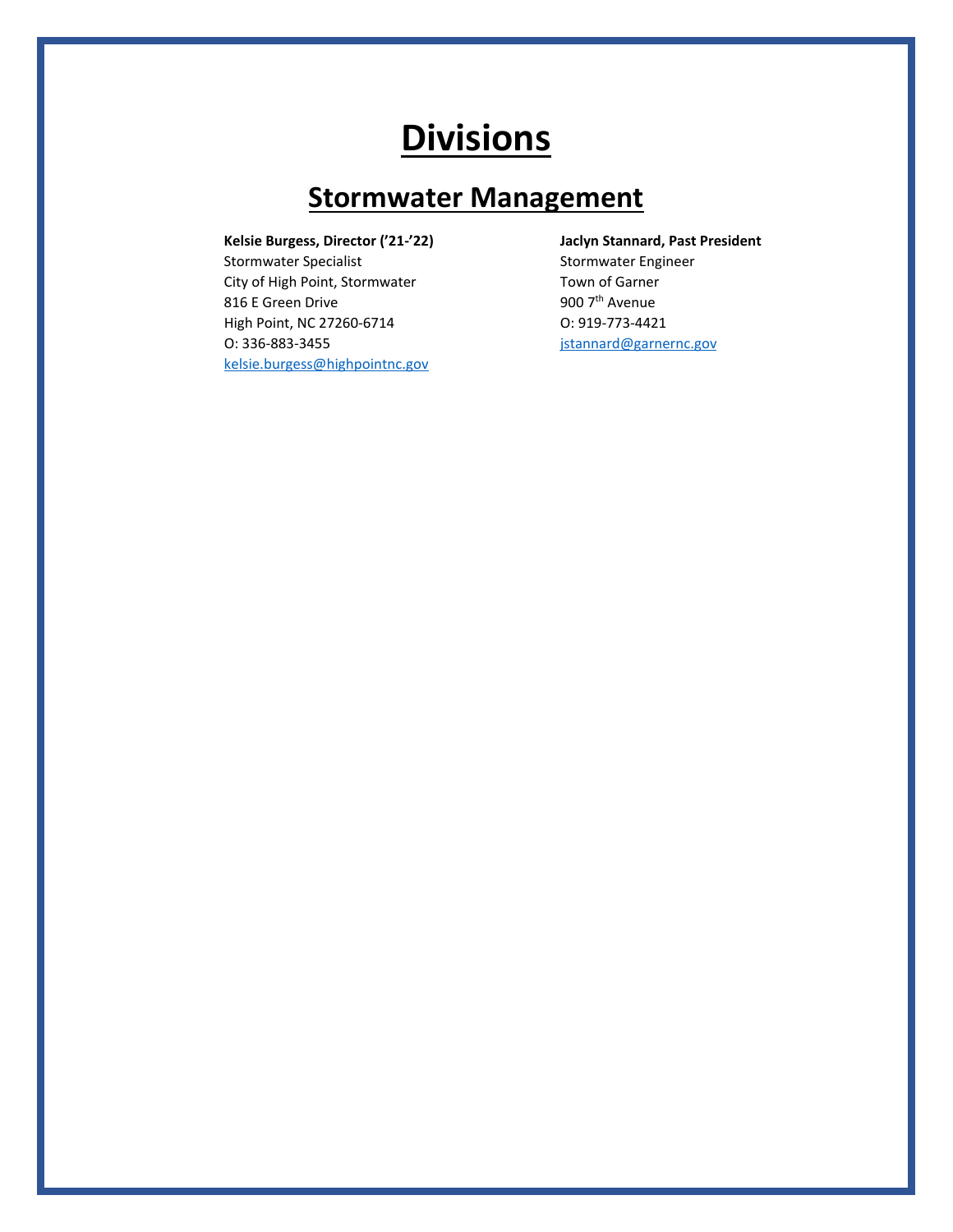## **Stormwater Management**

Stormwater Specialist Stormwater Engineer City of High Point, Stormwater Town of Garner 816 E Green Drive **900 7th** Avenue High Point, NC 27260-6714 O: 919-773-4421 O: 336-883-3455 [jstannard@garnernc.gov](mailto:jstannard@garnernc.gov) [kelsie.burgess@highpointnc.gov](mailto:kelsie.burgess@highpointnc.gov)

**Kelsie Burgess, Director ('21-'22) Jaclyn Stannard, Past President**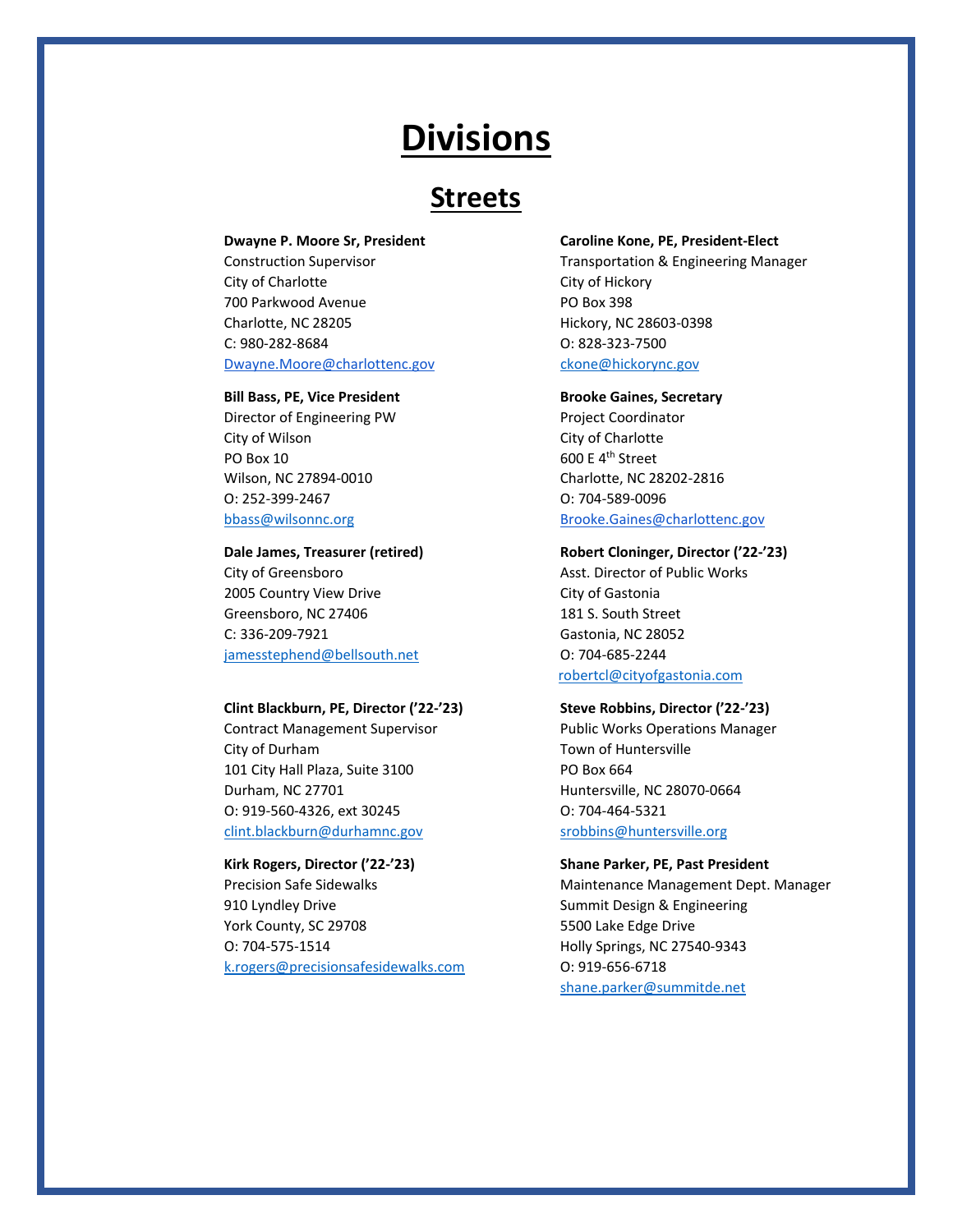## **Streets**

City of Charlotte City of Hickory 700 Parkwood Avenue **PO Box 398** Charlotte, NC 28205 Hickory, NC 28603-0398 C: 980-282-8684 O: 828-323-7500 [Dwayne.Moore@charlottenc.gov](mailto:Dwyane.Moore@charlottenc.gov) [ckone@hickorync.gov](mailto:ckone@hickorync.gov)

### **Bill Bass, PE, Vice President Brooke Gaines, Secretary**

Director of Engineering PW Project Coordinator City of Wilson City of Charlotte PO Box 10 600 E 4<sup>th</sup> Street Wilson, NC 27894-0010 Charlotte, NC 28202-2816 O: 252-399-2467 O: 704-589-0096

City of Greensboro **Asst. Director of Public Works** City of Greensboro 2005 Country View Drive Communication City of Gastonia Greensboro, NC 27406 181 S. South Street C: 336-209-7921 Gastonia, NC 28052 [jamesstephend@bellsouth.net](mailto:jamesstephend@bellsouth.net) O: 704-685-2244

### **Clint Blackburn, PE, Director ('22-'23) Steve Robbins, Director ('22-'23)**

City of Durham Town of Huntersville 101 City Hall Plaza, Suite 3100 PO Box 664 Durham, NC 27701 **Huntersville, NC 28070-0664** O: 919-560-4326, ext 30245 O: 704-464-5321 [clint.blackburn@durhamnc.gov](mailto:clint.blackburn@durham.gov) [srobbins@huntersville.org](mailto:srobbins@huntersville.org)

910 Lyndley Drive Summit Design & Engineering York County, SC 29708 5500 Lake Edge Drive O: 704-575-1514 Holly Springs, NC 27540-9343 [k.rogers@precisionsafesidewalks.com](mailto:k.rogers@precisionsafesidewalks.com) O: 919-656-6718

### **Dwayne P. Moore Sr, President Caroline Kone, PE, President-Elect**

Construction Supervisor **Transportation & Engineering Manager** Transportation & Engineering Manager

[bbass@wilsonnc.org](mailto:bbass@wilsonnc.org) bbass@wilsonnc.org [Brooke.Gaines@charlottenc.gov](mailto:Brooke.Gaines@charlottenc.gov)

### **Dale James, Treasurer (retired) Robert Cloninger, Director ('22-'23)**

[robertcl@cityofgastonia.com](mailto:robertcl@cityofgastonia.com)

Contract Management Supervisor **Public Works Operations Manager** 

### **Kirk Rogers, Director ('22-'23) Shane Parker, PE, Past President**

Precision Safe Sidewalks **Maintenance Management Dept. Manager** [shane.parker@summitde.net](mailto:shane.parker@summitde.net)